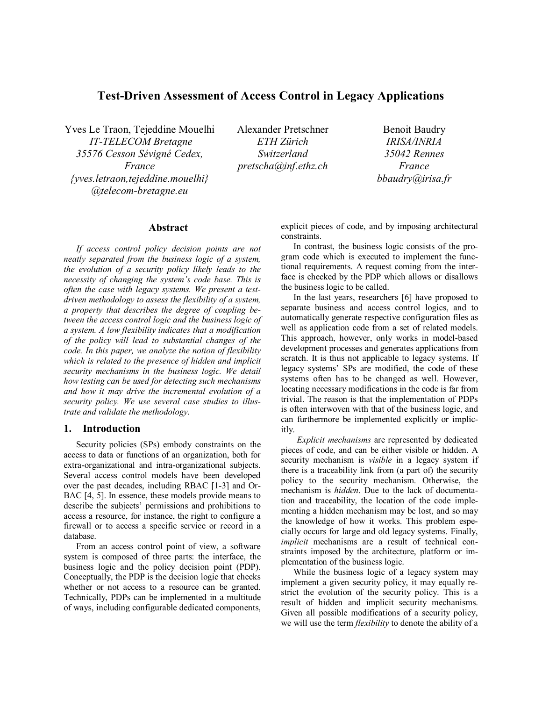# **Test-Driven Assessment of Access Control in Legacy Applications**

Yves Le Traon, Tejeddine Mouelhi  *IT-TELECOM Bretagne 35576 Cesson Sévigné Cedex, France {yves.letraon,tejeddine.mouelhi} @telecom-bretagne.eu* 

Alexander Pretschner *ETH Zürich Switzerland pretscha@inf.ethz.ch*

Benoit Baudry *IRISA/INRIA 35042 Rennes France bbaudry@irisa.fr* 

### **Abstract**

*If access control policy decision points are not neatly separated from the business logic of a system, the evolution of a security policy likely leads to the necessity of changing the system's code base. This is often the case with legacy systems. We present a testdriven methodology to assess the flexibility of a system, a property that describes the degree of coupling between the access control logic and the business logic of a system. A low flexibility indicates that a modification of the policy will lead to substantial changes of the code. In this paper, we analyze the notion of flexibility which is related to the presence of hidden and implicit security mechanisms in the business logic. We detail how testing can be used for detecting such mechanisms and how it may drive the incremental evolution of a security policy. We use several case studies to illustrate and validate the methodology.* 

# **1. Introduction**

Security policies (SPs) embody constraints on the access to data or functions of an organization, both for extra-organizational and intra-organizational subjects. Several access control models have been developed over the past decades, including RBAC [1-3] and Or-BAC [4, 5]. In essence, these models provide means to describe the subjects' permissions and prohibitions to access a resource, for instance, the right to configure a firewall or to access a specific service or record in a database.

From an access control point of view, a software system is composed of three parts: the interface, the business logic and the policy decision point (PDP). Conceptually, the PDP is the decision logic that checks whether or not access to a resource can be granted. Technically, PDPs can be implemented in a multitude of ways, including configurable dedicated components,

explicit pieces of code, and by imposing architectural constraints.

In contrast, the business logic consists of the program code which is executed to implement the functional requirements. A request coming from the interface is checked by the PDP which allows or disallows the business logic to be called.

In the last years, researchers [6] have proposed to separate business and access control logics, and to automatically generate respective configuration files as well as application code from a set of related models. This approach, however, only works in model-based development processes and generates applications from scratch. It is thus not applicable to legacy systems. If legacy systems' SPs are modified, the code of these systems often has to be changed as well. However, locating necessary modifications in the code is far from trivial. The reason is that the implementation of PDPs is often interwoven with that of the business logic, and can furthermore be implemented explicitly or implicitly.

*Explicit mechanisms* are represented by dedicated pieces of code, and can be either visible or hidden. A security mechanism is *visible* in a legacy system if there is a traceability link from (a part of) the security policy to the security mechanism. Otherwise, the mechanism is *hidden*. Due to the lack of documentation and traceability, the location of the code implementing a hidden mechanism may be lost, and so may the knowledge of how it works. This problem especially occurs for large and old legacy systems. Finally, *implicit* mechanisms are a result of technical constraints imposed by the architecture, platform or implementation of the business logic.

While the business logic of a legacy system may implement a given security policy, it may equally restrict the evolution of the security policy. This is a result of hidden and implicit security mechanisms. Given all possible modifications of a security policy, we will use the term *flexibility* to denote the ability of a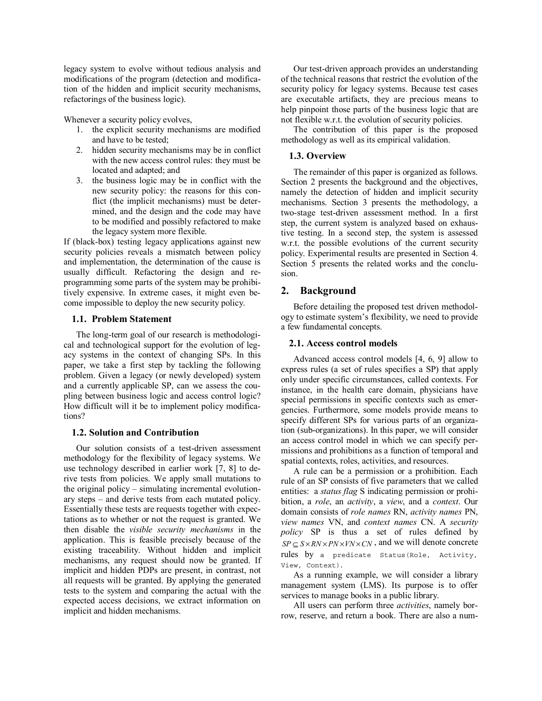legacy system to evolve without tedious analysis and modifications of the program (detection and modification of the hidden and implicit security mechanisms, refactorings of the business logic).

Whenever a security policy evolves,

- 1. the explicit security mechanisms are modified and have to be tested;
- 2. hidden security mechanisms may be in conflict with the new access control rules: they must be located and adapted; and
- 3. the business logic may be in conflict with the new security policy: the reasons for this conflict (the implicit mechanisms) must be determined, and the design and the code may have to be modified and possibly refactored to make the legacy system more flexible.

If (black-box) testing legacy applications against new security policies reveals a mismatch between policy and implementation, the determination of the cause is usually difficult. Refactoring the design and reprogramming some parts of the system may be prohibitively expensive. In extreme cases, it might even become impossible to deploy the new security policy.

# **1.1. Problem Statement**

The long-term goal of our research is methodological and technological support for the evolution of legacy systems in the context of changing SPs. In this paper, we take a first step by tackling the following problem. Given a legacy (or newly developed) system and a currently applicable SP, can we assess the coupling between business logic and access control logic? How difficult will it be to implement policy modifications?

### **1.2. Solution and Contribution**

Our solution consists of a test-driven assessment methodology for the flexibility of legacy systems. We use technology described in earlier work [7, 8] to derive tests from policies. We apply small mutations to the original policy – simulating incremental evolutionary steps – and derive tests from each mutated policy. Essentially these tests are requests together with expectations as to whether or not the request is granted. We then disable the *visible security mechanisms* in the application. This is feasible precisely because of the existing traceability. Without hidden and implicit mechanisms, any request should now be granted. If implicit and hidden PDPs are present, in contrast, not all requests will be granted. By applying the generated tests to the system and comparing the actual with the expected access decisions, we extract information on implicit and hidden mechanisms.

Our test-driven approach provides an understanding of the technical reasons that restrict the evolution of the security policy for legacy systems. Because test cases are executable artifacts, they are precious means to help pinpoint those parts of the business logic that are not flexible w.r.t. the evolution of security policies.

The contribution of this paper is the proposed methodology as well as its empirical validation.

### **1.3. Overview**

The remainder of this paper is organized as follows. Section 2 presents the background and the objectives, namely the detection of hidden and implicit security mechanisms. Section 3 presents the methodology, a two-stage test-driven assessment method. In a first step, the current system is analyzed based on exhaustive testing. In a second step, the system is assessed w.r.t. the possible evolutions of the current security policy. Experimental results are presented in Section 4. Section 5 presents the related works and the conclusion.

### **2. Background**

Before detailing the proposed test driven methodology to estimate system's flexibility, we need to provide a few fundamental concepts.

#### **2.1. Access control models**

Advanced access control models [4, 6, 9] allow to express rules (a set of rules specifies a SP) that apply only under specific circumstances, called contexts. For instance, in the health care domain, physicians have special permissions in specific contexts such as emergencies. Furthermore, some models provide means to specify different SPs for various parts of an organization (sub-organizations). In this paper, we will consider an access control model in which we can specify permissions and prohibitions as a function of temporal and spatial contexts, roles, activities, and resources.

A rule can be a permission or a prohibition. Each rule of an SP consists of five parameters that we called entities: a *status flag* S indicating permission or prohibition, a *role*, an *activity*, a *view*, and a *context*. Our domain consists of *role names* RN, *activity names* PN, *view names* VN, and *context names* CN. A *security policy* SP is thus a set of rules defined by  $SP \subseteq S \times RN \times PN \times VN \times CN$ , and we will denote concrete rules by a predicate Status(Role, Activity, View, Context).

As a running example, we will consider a library management system (LMS). Its purpose is to offer services to manage books in a public library.

All users can perform three *activities*, namely borrow, reserve, and return a book. There are also a num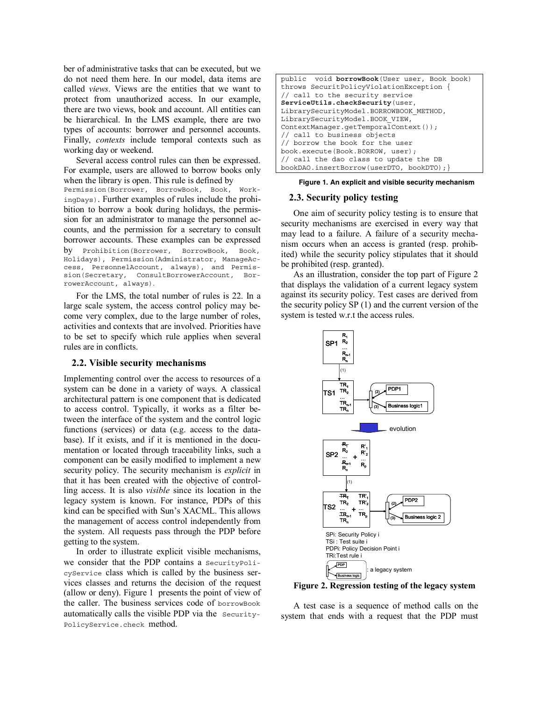ber of administrative tasks that can be executed, but we do not need them here. In our model, data items are called *views*. Views are the entities that we want to protect from unauthorized access. In our example, there are two views, book and account. All entities can be hierarchical. In the LMS example, there are two types of accounts: borrower and personnel accounts. Finally, *contexts* include temporal contexts such as working day or weekend.

Several access control rules can then be expressed. For example, users are allowed to borrow books only when the library is open. This rule is defined by Permission(Borrower, BorrowBook, Book, WorkingDays). Further examples of rules include the prohibition to borrow a book during holidays, the permission for an administrator to manage the personnel accounts, and the permission for a secretary to consult borrower accounts. These examples can be expressed by Prohibition(Borrower, BorrowBook, Book, Holidays), Permission(Administrator, ManageAccess, PersonnelAccount, always), and Permission(Secretary, ConsultBorrowerAccount, BorrowerAccount, always).

For the LMS, the total number of rules is 22. In a large scale system, the access control policy may become very complex, due to the large number of roles, activities and contexts that are involved. Priorities have to be set to specify which rule applies when several rules are in conflicts.

#### **2.2. Visible security mechanisms**

Implementing control over the access to resources of a system can be done in a variety of ways. A classical architectural pattern is one component that is dedicated to access control. Typically, it works as a filter between the interface of the system and the control logic functions (services) or data (e.g. access to the database). If it exists, and if it is mentioned in the documentation or located through traceability links, such a component can be easily modified to implement a new security policy. The security mechanism is *explicit* in that it has been created with the objective of controlling access. It is also *visible* since its location in the legacy system is known. For instance, PDPs of this kind can be specified with Sun's XACML. This allows the management of access control independently from the system. All requests pass through the PDP before getting to the system.

In order to illustrate explicit visible mechanisms, we consider that the PDP contains a SecurityPolicyService class which is called by the business services classes and returns the decision of the request (allow or deny). Figure 1 presents the point of view of the caller. The business services code of borrowBook automatically calls the visible PDP via the security-PolicyService.check method.

| public void <b>borrowBook</b> (User user, Book book) |
|------------------------------------------------------|
| throws SecuritPolicyViolationException {             |
| // call to the security service                      |
| ServiceUtils.checkSecurity(user,                     |
| LibrarySecurityModel.BORROWBOOK METHOD,              |
| LibrarySecurityModel.BOOK VIEW,                      |
| ContextManager.getTemporalContext());                |
| // call to business objects                          |
| // borrow the book for the user                      |
| book.execute(Book.BORROW, user);                     |
| // call the dao class to update the DB               |
| $bookDAO.insertBorrow(userDTO, bookDTO);$            |

 **Figure 1. An explicit and visible security mechanism** 

### **2.3. Security policy testing**

One aim of security policy testing is to ensure that security mechanisms are exercised in every way that may lead to a failure. A failure of a security mechanism occurs when an access is granted (resp. prohibited) while the security policy stipulates that it should be prohibited (resp. granted).

As an illustration, consider the top part of Figure 2 that displays the validation of a current legacy system against its security policy. Test cases are derived from the security policy SP (1) and the current version of the system is tested w.r.t the access rules.



**Figure 2. Regression testing of the legacy system** 

A test case is a sequence of method calls on the system that ends with a request that the PDP must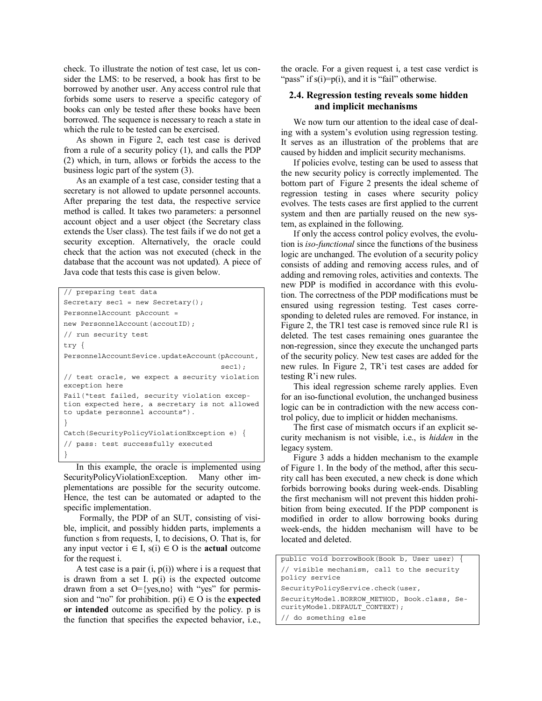check. To illustrate the notion of test case, let us consider the LMS: to be reserved, a book has first to be borrowed by another user. Any access control rule that forbids some users to reserve a specific category of books can only be tested after these books have been borrowed. The sequence is necessary to reach a state in which the rule to be tested can be exercised.

As shown in Figure 2, each test case is derived from a rule of a security policy (1), and calls the PDP (2) which, in turn, allows or forbids the access to the business logic part of the system (3).

As an example of a test case, consider testing that a secretary is not allowed to update personnel accounts. After preparing the test data, the respective service method is called. It takes two parameters: a personnel account object and a user object (the Secretary class extends the User class). The test fails if we do not get a security exception. Alternatively, the oracle could check that the action was not executed (check in the database that the account was not updated). A piece of Java code that tests this case is given below.

```
// preparing test data 
Secretary sec1 = new Secretary();
PersonnelAccount pAccount = 
new PersonnelAccount (accoutID);
// run security test 
try { 
PersonnelAccountSevice.updateAccount(pAccount, 
                                       sec1); 
// test oracle, we expect a security violation 
exception here 
Fail("test failed, security violation excep-
tion expected here, a secretary is not allowed 
to update personnel accounts"). 
} 
Catch(SecurityPolicyViolationException e) { 
// pass: test successfully executed 
}
```
In this example, the oracle is implemented using SecurityPolicyViolationException. Many other implementations are possible for the security outcome. Hence, the test can be automated or adapted to the specific implementation.

Formally, the PDP of an SUT, consisting of visible, implicit, and possibly hidden parts, implements a function s from requests, I, to decisions, O. That is, for any input vector  $i \in I$ ,  $s(i) \in O$  is the **actual** outcome for the request i.

A test case is a pair  $(i, p(i))$  where i is a request that is drawn from a set I.  $p(i)$  is the expected outcome drawn from a set  $O = \{yes, no\}$  with "yes" for permission and "no" for prohibition.  $p(i) \in O$  is the **expected or intended** outcome as specified by the policy. p is the function that specifies the expected behavior, i.e., the oracle. For a given request i, a test case verdict is "pass" if  $s(i)=p(i)$ , and it is "fail" otherwise.

### **2.4. Regression testing reveals some hidden and implicit mechanisms**

We now turn our attention to the ideal case of dealing with a system's evolution using regression testing. It serves as an illustration of the problems that are caused by hidden and implicit security mechanisms.

If policies evolve, testing can be used to assess that the new security policy is correctly implemented. The bottom part of Figure 2 presents the ideal scheme of regression testing in cases where security policy evolves. The tests cases are first applied to the current system and then are partially reused on the new system, as explained in the following.

If only the access control policy evolves, the evolution is *iso-functional* since the functions of the business logic are unchanged. The evolution of a security policy consists of adding and removing access rules, and of adding and removing roles, activities and contexts. The new PDP is modified in accordance with this evolution. The correctness of the PDP modifications must be ensured using regression testing. Test cases corresponding to deleted rules are removed. For instance, in Figure 2, the TR1 test case is removed since rule R1 is deleted. The test cases remaining ones guarantee the non-regression, since they execute the unchanged parts of the security policy. New test cases are added for the new rules. In Figure 2, TR'i test cases are added for testing R'i new rules.

This ideal regression scheme rarely applies. Even for an iso-functional evolution, the unchanged business logic can be in contradiction with the new access control policy, due to implicit or hidden mechanisms.

The first case of mismatch occurs if an explicit security mechanism is not visible, i.e., is *hidden* in the legacy system.

Figure 3 adds a hidden mechanism to the example of Figure 1. In the body of the method, after this security call has been executed, a new check is done which forbids borrowing books during week-ends. Disabling the first mechanism will not prevent this hidden prohibition from being executed. If the PDP component is modified in order to allow borrowing books during week-ends, the hidden mechanism will have to be located and deleted.

```
public void borrowBook(Book b, User user) { 
// visible mechanism, call to the security 
policy service 
SecurityPolicyService.check(user, 
SecurityModel.BORROW_METHOD, Book.class, Se-
curityModel.DEFAULT_CONTEXT); 
// do something else
```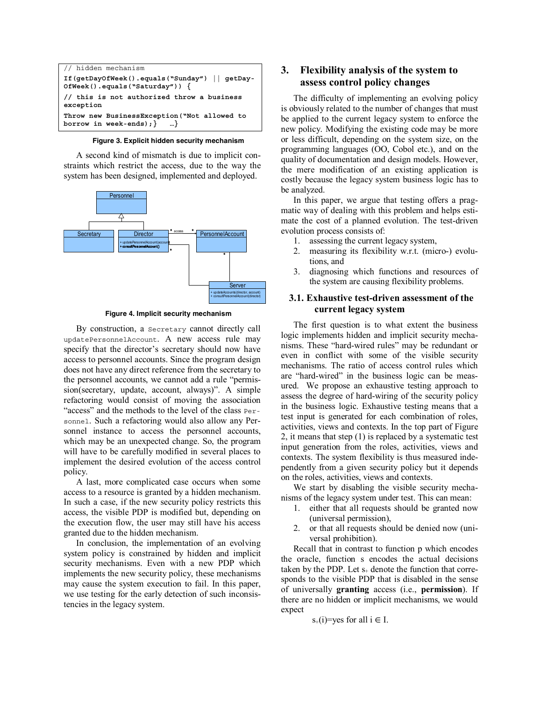```
// hidden mechanism 
If(getDayOfWeek().equals("Sunday") || getDay-
OfWeek().equals("Saturday")) { 
// this is not authorized throw a business 
exception 
Throw new BusinessException("Not allowed to 
borrow in week-ends);} …}
```
**Figure 3. Explicit hidden security mechanism** 

A second kind of mismatch is due to implicit constraints which restrict the access, due to the way the system has been designed, implemented and deployed.



**Figure 4. Implicit security mechanism** 

By construction, a Secretary cannot directly call updatePersonnelAccount. A new access rule may specify that the director's secretary should now have access to personnel accounts. Since the program design does not have any direct reference from the secretary to the personnel accounts, we cannot add a rule "permission(secretary, update, account, always)". A simple refactoring would consist of moving the association "access" and the methods to the level of the class Personnel. Such a refactoring would also allow any Personnel instance to access the personnel accounts, which may be an unexpected change. So, the program will have to be carefully modified in several places to implement the desired evolution of the access control policy.

A last, more complicated case occurs when some access to a resource is granted by a hidden mechanism. In such a case, if the new security policy restricts this access, the visible PDP is modified but, depending on the execution flow, the user may still have his access granted due to the hidden mechanism.

In conclusion, the implementation of an evolving system policy is constrained by hidden and implicit security mechanisms. Even with a new PDP which implements the new security policy, these mechanisms may cause the system execution to fail. In this paper, we use testing for the early detection of such inconsistencies in the legacy system.

# **3. Flexibility analysis of the system to assess control policy changes**

The difficulty of implementing an evolving policy is obviously related to the number of changes that must be applied to the current legacy system to enforce the new policy. Modifying the existing code may be more or less difficult, depending on the system size, on the programming languages (OO, Cobol etc.), and on the quality of documentation and design models. However, the mere modification of an existing application is costly because the legacy system business logic has to be analyzed.

In this paper, we argue that testing offers a pragmatic way of dealing with this problem and helps estimate the cost of a planned evolution. The test-driven evolution process consists of:

- 1. assessing the current legacy system,
- 2. measuring its flexibility w.r.t. (micro-) evolutions, and
- 3. diagnosing which functions and resources of the system are causing flexibility problems.

# **3.1. Exhaustive test-driven assessment of the current legacy system**

The first question is to what extent the business logic implements hidden and implicit security mechanisms. These "hard-wired rules" may be redundant or even in conflict with some of the visible security mechanisms. The ratio of access control rules which are "hard-wired" in the business logic can be measured. We propose an exhaustive testing approach to assess the degree of hard-wiring of the security policy in the business logic. Exhaustive testing means that a test input is generated for each combination of roles, activities, views and contexts. In the top part of Figure 2, it means that step (1) is replaced by a systematic test input generation from the roles, activities, views and contexts. The system flexibility is thus measured independently from a given security policy but it depends on the roles, activities, views and contexts.

We start by disabling the visible security mechanisms of the legacy system under test. This can mean:

- 1. either that all requests should be granted now (universal permission),
- 2. or that all requests should be denied now (universal prohibition).

Recall that in contrast to function p which encodes the oracle, function s encodes the actual decisions taken by the PDP. Let  $s_{+}$  denote the function that corresponds to the visible PDP that is disabled in the sense of universally **granting** access (i.e., **permission**). If there are no hidden or implicit mechanisms, we would expect

 $s_{+}(i)$ =yes for all  $i \in I$ .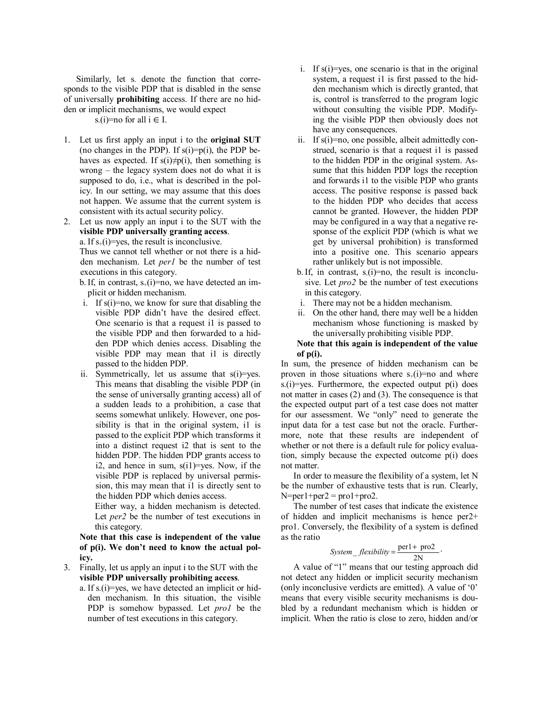Similarly, let s. denote the function that corresponds to the visible PDP that is disabled in the sense of universally **prohibiting** access. If there are no hidden or implicit mechanisms, we would expect

s.(i)=no for all  $i \in I$ .

- 1. Let us first apply an input i to the **original SUT** (no changes in the PDP). If  $s(i)=p(i)$ , the PDP behaves as expected. If  $s(i) \neq p(i)$ , then something is wrong – the legacy system does not do what it is supposed to do, i.e., what is described in the policy. In our setting, we may assume that this does not happen. We assume that the current system is consistent with its actual security policy.
- 2. Let us now apply an input i to the SUT with the **visible PDP universally granting access**.

a. If  $s_+(i)$ =yes, the result is inconclusive.

Thus we cannot tell whether or not there is a hidden mechanism. Let *per1* be the number of test executions in this category.

b. If, in contrast,  $s+(i)=no$ , we have detected an implicit or hidden mechanism.

- i. If  $s(i)=no$ , we know for sure that disabling the visible PDP didn't have the desired effect. One scenario is that a request i1 is passed to the visible PDP and then forwarded to a hidden PDP which denies access. Disabling the visible PDP may mean that i1 is directly passed to the hidden PDP.
- ii. Symmetrically, let us assume that s(i)=yes. This means that disabling the visible PDP (in the sense of universally granting access) all of a sudden leads to a prohibition, a case that seems somewhat unlikely. However, one possibility is that in the original system, i1 is passed to the explicit PDP which transforms it into a distinct request i2 that is sent to the hidden PDP. The hidden PDP grants access to i2, and hence in sum, s(i1)=yes. Now, if the visible PDP is replaced by universal permission, this may mean that i1 is directly sent to the hidden PDP which denies access.

Either way, a hidden mechanism is detected. Let *per2* be the number of test executions in this category.

**Note that this case is independent of the value of p(i). We don't need to know the actual policy.**

- 3. Finally, let us apply an input i to the SUT with the **visible PDP universally prohibiting access**.
	- a. If  $s_i(i)$ =yes, we have detected an implicit or hidden mechanism. In this situation, the visible PDP is somehow bypassed. Let *pro1* be the number of test executions in this category.
- i. If s(i)=yes, one scenario is that in the original system, a request i1 is first passed to the hidden mechanism which is directly granted, that is, control is transferred to the program logic without consulting the visible PDP. Modifying the visible PDP then obviously does not have any consequences.
- ii. If s(i)=no, one possible, albeit admittedly construed, scenario is that a request i1 is passed to the hidden PDP in the original system. Assume that this hidden PDP logs the reception and forwards i1 to the visible PDP who grants access. The positive response is passed back to the hidden PDP who decides that access cannot be granted. However, the hidden PDP may be configured in a way that a negative response of the explicit PDP (which is what we get by universal prohibition) is transformed into a positive one. This scenario appears rather unlikely but is not impossible.
- b. If, in contrast,  $s_i(i) = no$ , the result is inconclusive. Let *pro2* be the number of test executions in this category.
- i. There may not be a hidden mechanism.
- ii. On the other hand, there may well be a hidden mechanism whose functioning is masked by the universally prohibiting visible PDP.

### **Note that this again is independent of the value of p(i).**

In sum, the presence of hidden mechanism can be proven in those situations where  $s_{+}(i)$ =no and where  $s(i)=$ yes. Furthermore, the expected output  $p(i)$  does not matter in cases (2) and (3). The consequence is that the expected output part of a test case does not matter for our assessment. We "only" need to generate the input data for a test case but not the oracle. Furthermore, note that these results are independent of whether or not there is a default rule for policy evaluation, simply because the expected outcome p(i) does not matter.

In order to measure the flexibility of a system, let N be the number of exhaustive tests that is run. Clearly,  $N=per1+per2 = pro1+pro2$ .

The number of test cases that indicate the existence of hidden and implicit mechanisms is hence per2+ pro1. Conversely, the flexibility of a system is defined as the ratio

$$
System\_flexibility = \frac{per1 + pro2}{2N}.
$$

A value of "1" means that our testing approach did not detect any hidden or implicit security mechanism (only inconclusive verdicts are emitted). A value of '0' means that every visible security mechanisms is doubled by a redundant mechanism which is hidden or implicit. When the ratio is close to zero, hidden and/or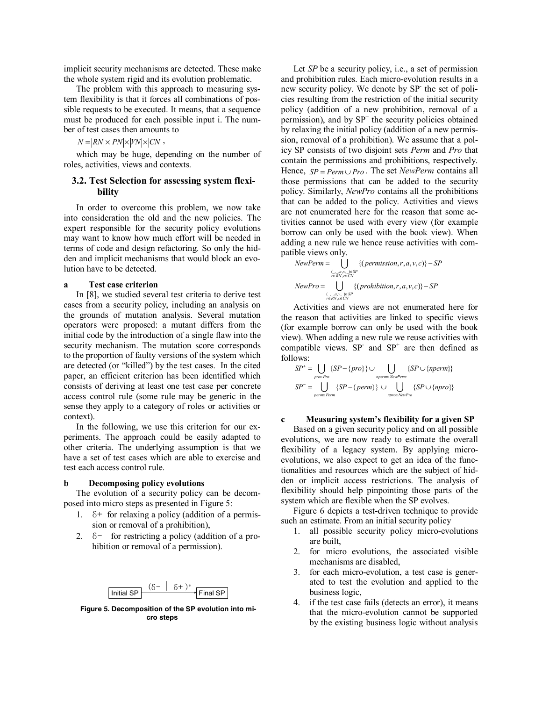implicit security mechanisms are detected. These make the whole system rigid and its evolution problematic.

The problem with this approach to measuring system flexibility is that it forces all combinations of possible requests to be executed. It means, that a sequence must be produced for each possible input i. The number of test cases then amounts to

 $N = |RN| \times |PN| \times |VN| \times |CN|$ ,

which may be huge, depending on the number of roles, activities, views and contexts.

# **3.2. Test Selection for assessing system flexibility**

In order to overcome this problem, we now take into consideration the old and the new policies. The expert responsible for the security policy evolutions may want to know how much effort will be needed in terms of code and design refactoring. So only the hidden and implicit mechanisms that would block an evolution have to be detected.

#### **a Test case criterion**

In [8], we studied several test criteria to derive test cases from a security policy, including an analysis on the grounds of mutation analysis. Several mutation operators were proposed: a mutant differs from the initial code by the introduction of a single flaw into the security mechanism. The mutation score corresponds to the proportion of faulty versions of the system which are detected (or "killed") by the test cases. In the cited paper, an efficient criterion has been identified which consists of deriving at least one test case per concrete access control rule (some rule may be generic in the sense they apply to a category of roles or activities or context).

In the following, we use this criterion for our experiments. The approach could be easily adapted to other criteria. The underlying assumption is that we have a set of test cases which are able to exercise and test each access control rule.

#### **b Decomposing policy evolutions**

The evolution of a security policy can be decomposed into micro steps as presented in Figure 5:

- 1.  $\delta$ <sup>+</sup> for relaxing a policy (addition of a permission or removal of a prohibition),
- 2.  $\delta$  for restricting a policy (addition of a prohibition or removal of a permission).



**Figure 5. Decomposition of the SP evolution into micro steps** 

Let *SP* be a security policy, i.e., a set of permission and prohibition rules. Each micro-evolution results in a new security policy. We denote by SP- the set of policies resulting from the restriction of the initial security policy (addition of a new prohibition, removal of a permission), and by  $SP^+$  the security policies obtained by relaxing the initial policy (addition of a new permission, removal of a prohibition). We assume that a policy SP consists of two disjoint sets *Perm* and *Pro* that contain the permissions and prohibitions, respectively. Hence, *SP* = *Perm*∪ *Pro* . The set *NewPerm* contains all those permissions that can be added to the security policy. Similarly, *NewPro* contains all the prohibitions that can be added to the policy. Activities and views are not enumerated here for the reason that some activities cannot be used with every view (for example borrow can only be used with the book view). When adding a new rule we hence reuse activities with compatible views only.

NewPerm = 
$$
\bigcup_{\substack{C = a, v, v \in SP \\ v \in RN, c \in CN}} \{ (permission, r, a, v, c) \} - SP
$$
  
NewPro = 
$$
\bigcup_{\substack{C = a, v, v \in SN \\ c \in RN, c \in CN}} \{ (prohibition, r, a, v, c) \} - SP
$$

Activities and views are not enumerated here for the reason that activities are linked to specific views (for example borrow can only be used with the book view). When adding a new rule we reuse activities with compatible views.  $SP<sup>+</sup>$  are then defined as follows:

$$
SP^+ = \bigcup_{\text{proc} Pro} \{SP - \{pro\}\} \cup \bigcup_{\text{upperme} N \text{cv}} \{SP \cup \{nperm\}\}
$$
  

$$
SP^- = \bigcup_{\text{perm}} \{SP - \{perm\}\} \cup \bigcup_{\text{upperme} N \text{cv}} \{SP \cup \{npro\}\}
$$

### **c Measuring system's flexibility for a given SP**

Based on a given security policy and on all possible evolutions, we are now ready to estimate the overall flexibility of a legacy system. By applying microevolutions, we also expect to get an idea of the functionalities and resources which are the subject of hidden or implicit access restrictions. The analysis of flexibility should help pinpointing those parts of the system which are flexible when the SP evolves.

Figure 6 depicts a test-driven technique to provide such an estimate. From an initial security policy

- 1. all possible security policy micro-evolutions are built,
- 2. for micro evolutions, the associated visible mechanisms are disabled,
- 3. for each micro-evolution, a test case is generated to test the evolution and applied to the business logic,
- 4. if the test case fails (detects an error), it means that the micro-evolution cannot be supported by the existing business logic without analysis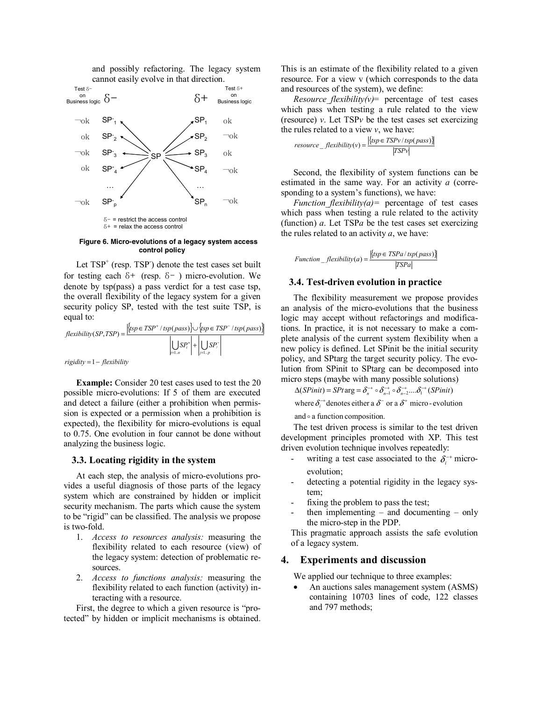and possibly refactoring. The legacy system cannot easily evolve in that direction.



**Figure 6. Micro-evolutions of a legacy system access control policy** 

Let  $TSP<sup>+</sup>$  (resp.  $TSP<sup>-</sup>$ ) denote the test cases set built for testing each  $\delta$ + (resp.  $\delta$ -) micro-evolution. We denote by tsp(pass) a pass verdict for a test case tsp, the overall flexibility of the legacy system for a given security policy SP, tested with the test suite TSP, is equal to:

 $flexibility(SP, TSP) = \frac{|\{ \text{tsp} \in TSP^+ \mid \text{tsp}(\text{pass}) \} \cup \{ \text{tsp} \in TSP^- \mid \text{tsp}(\text{pass}) \} |}{\frac{1}{\sqrt{np \cdot \sum_{i=1}^{n} p_i^2}}$ *SP SP*  $i=1..n$   $j=1..p$ *i j* + = − = +  $1..n$   $j=1..$  $\bigcup SP_i^+ \big|\bigcup$ 

*rigidity* = 1 – flexibility

**Example:** Consider 20 test cases used to test the 20 possible micro-evolutions: If 5 of them are executed and detect a failure (either a prohibition when permission is expected or a permission when a prohibition is expected), the flexibility for micro-evolutions is equal to 0.75. One evolution in four cannot be done without analyzing the business logic.

#### **3.3. Locating rigidity in the system**

At each step, the analysis of micro-evolutions provides a useful diagnosis of those parts of the legacy system which are constrained by hidden or implicit security mechanism. The parts which cause the system to be "rigid" can be classified. The analysis we propose is two-fold.

- 1. *Access to resources analysis:* measuring the flexibility related to each resource (view) of the legacy system: detection of problematic resources.
- 2. *Access to functions analysis:* measuring the flexibility related to each function (activity) interacting with a resource.

First, the degree to which a given resource is "protected" by hidden or implicit mechanisms is obtained.

This is an estimate of the flexibility related to a given resource. For a view v (which corresponds to the data and resources of the system), we define:

*Resource flexibility(v)*= percentage of test cases which pass when testing a rule related to the view (resource) *v*. Let TSP*v* be the test cases set exercizing the rules related to a view *v*, we have:

$$
resource\_flexibility(v) = \frac{|\{ \text{tsp} \in TSPv / \text{tsp}(\text{pass}) \}|}{|TSPv|}
$$

Second, the flexibility of system functions can be estimated in the same way. For an activity *a* (corresponding to a system's functions), we have:

*Function flexibility(a)* = percentage of test cases which pass when testing a rule related to the activity (function) *a*. Let TSP*a* be the test cases set exercizing the rules related to an activity *a*, we have:

Function 
$$
Function_{\text{1}}\text{flexibility}(a) = \frac{|\{ \text{tsp} \in \text{TSPa} \mid \text{tsp}(\text{pass}) \}|}{|\text{TSPa}|}
$$

### **3.4. Test-driven evolution in practice**

The flexibility measurement we propose provides an analysis of the micro-evolutions that the business logic may accept without refactorings and modifications. In practice, it is not necessary to make a complete analysis of the current system flexibility when a new policy is defined. Let SPinit be the initial security policy, and SPtarg the target security policy. The evolution from SPinit to SPtarg can be decomposed into micro steps (maybe with many possible solutions)

$$
\Delta(SPinit) = SPt \arg \theta_n^{-+} \circ \delta_{n-1}^{-+} \circ \delta_{n-2}^{-+} \dots \delta_1^{-+} (SPinit)
$$
  
where  $\delta_i^{-+}$  denotes either a  $\delta^-$  or a  $\delta^+$  micro-evolution

and  $\circ$  a function composition.

The test driven process is similar to the test driven development principles promoted with XP. This test driven evolution technique involves repeatedly:

- writing a test case associated to the  $\delta_i^{-+}$  microevolution;
- detecting a potential rigidity in the legacy system;
- fixing the problem to pass the test;
- then implementing and documenting only the micro-step in the PDP.

This pragmatic approach assists the safe evolution of a legacy system.

### **4. Experiments and discussion**

We applied our technique to three examples:

• An auctions sales management system (ASMS) containing 10703 lines of code, 122 classes and 797 methods;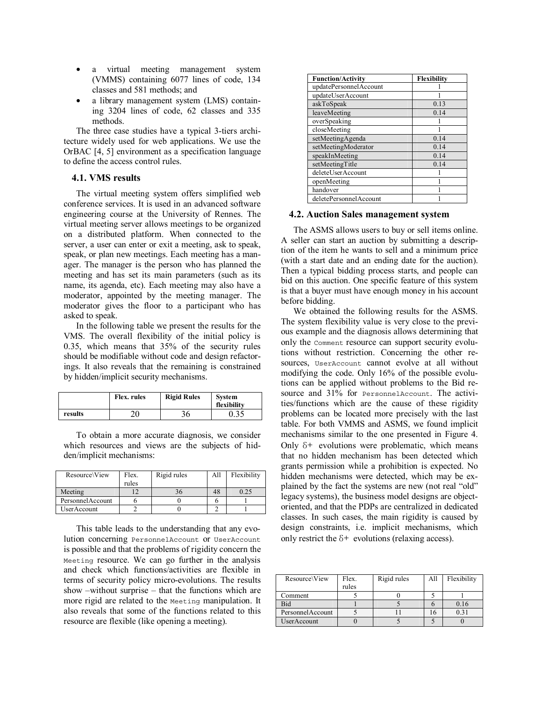- a virtual meeting management system (VMMS) containing 6077 lines of code, 134 classes and 581 methods; and
- a library management system (LMS) containing 3204 lines of code, 62 classes and 335 methods.

The three case studies have a typical 3-tiers architecture widely used for web applications. We use the OrBAC [4, 5] environment as a specification language to define the access control rules.

## **4.1. VMS results**

The virtual meeting system offers simplified web conference services. It is used in an advanced software engineering course at the University of Rennes. The virtual meeting server allows meetings to be organized on a distributed platform. When connected to the server, a user can enter or exit a meeting, ask to speak, speak, or plan new meetings. Each meeting has a manager. The manager is the person who has planned the meeting and has set its main parameters (such as its name, its agenda, etc). Each meeting may also have a moderator, appointed by the meeting manager. The moderator gives the floor to a participant who has asked to speak.

In the following table we present the results for the VMS. The overall flexibility of the initial policy is 0.35, which means that 35% of the security rules should be modifiable without code and design refactorings. It also reveals that the remaining is constrained by hidden/implicit security mechanisms.

|         | Flex. rules | <b>Rigid Rules</b> | <b>System</b><br>flexibility |
|---------|-------------|--------------------|------------------------------|
| results |             | 36                 | 0.35                         |

To obtain a more accurate diagnosis, we consider which resources and views are the subjects of hidden/implicit mechanisms:

| Resource\View      | Flex. | Rigid rules | A11 | Flexibility |
|--------------------|-------|-------------|-----|-------------|
|                    | rules |             |     |             |
| Meeting            |       |             |     | 0.25        |
| PersonnelAccount   |       |             |     |             |
| <b>UserAccount</b> |       |             |     |             |

This table leads to the understanding that any evolution concerning PersonnelAccount or UserAccount is possible and that the problems of rigidity concern the Meeting resource. We can go further in the analysis and check which functions/activities are flexible in terms of security policy micro-evolutions. The results show –without surprise – that the functions which are more rigid are related to the Meeting manipulation. It also reveals that some of the functions related to this resource are flexible (like opening a meeting).

| <b>Function/Activity</b> | Flexibility |
|--------------------------|-------------|
| updatePersonnelAccount   |             |
| updateUserAccount        |             |
| askToSpeak               | 0.13        |
| leaveMeeting             | 0.14        |
| overSpeaking             |             |
| closeMeeting             |             |
| setMeetingAgenda         | 0.14        |
| setMeetingModerator      | 0.14        |
| speakInMeeting           | 0.14        |
| setMeetingTitle          | 0.14        |
| deleteUserAccount        |             |
| openMeeting              |             |
| handover                 |             |
| deletePersonnelAccount   |             |

### **4.2. Auction Sales management system**

The ASMS allows users to buy or sell items online. A seller can start an auction by submitting a description of the item he wants to sell and a minimum price (with a start date and an ending date for the auction). Then a typical bidding process starts, and people can bid on this auction. One specific feature of this system is that a buyer must have enough money in his account before bidding.

We obtained the following results for the ASMS. The system flexibility value is very close to the previous example and the diagnosis allows determining that only the Comment resource can support security evolutions without restriction. Concerning the other resources, UserAccount cannot evolve at all without modifying the code. Only 16% of the possible evolutions can be applied without problems to the Bid resource and 31% for PersonnelAccount. The activities/functions which are the cause of these rigidity problems can be located more precisely with the last table. For both VMMS and ASMS, we found implicit mechanisms similar to the one presented in Figure 4. Only  $\delta$ <sup>+</sup> evolutions were problematic, which means that no hidden mechanism has been detected which grants permission while a prohibition is expected. No hidden mechanisms were detected, which may be explained by the fact the systems are new (not real "old" legacy systems), the business model designs are objectoriented, and that the PDPs are centralized in dedicated classes. In such cases, the main rigidity is caused by design constraints, i.e. implicit mechanisms, which only restrict the  $\delta$ + evolutions (relaxing access).

| Resource\View    | Flex. | Rigid rules | Flexibility |
|------------------|-------|-------------|-------------|
|                  | rules |             |             |
| Comment          |       |             |             |
| Bid              |       |             | 0.16        |
| PersonnelAccount |       |             | 0.31        |
| UserAccount      |       |             |             |